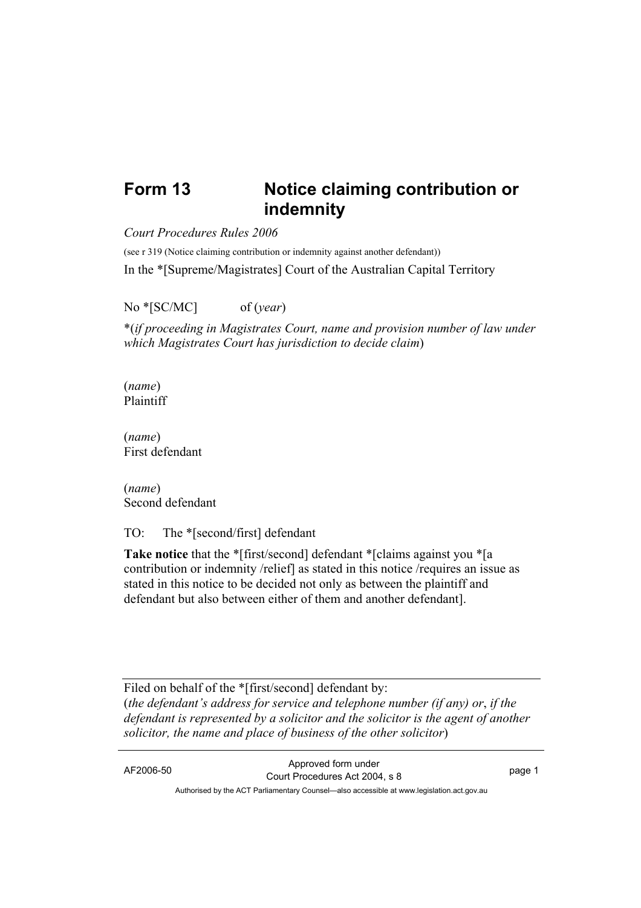## **Form 13 Notice claiming contribution or indemnity**

*Court Procedures Rules 2006*

(see r 319 (Notice claiming contribution or indemnity against another defendant))

In the \*[Supreme/Magistrates] Court of the Australian Capital Territory

No \*[SC/MC] of (*year*)

\*(*if proceeding in Magistrates Court, name and provision number of law under which Magistrates Court has jurisdiction to decide claim*)

(*name*) Plaintiff

(*name*) First defendant

(*name*) Second defendant

TO: The \*[second/first] defendant

**Take notice** that the \*[first/second] defendant \*[claims against you \*[a] contribution or indemnity /relief] as stated in this notice /requires an issue as stated in this notice to be decided not only as between the plaintiff and defendant but also between either of them and another defendant].

Filed on behalf of the \*[first/second] defendant by: (*the defendant's address for service and telephone number (if any) or*, *if the defendant is represented by a solicitor and the solicitor is the agent of another solicitor, the name and place of business of the other solicitor*)